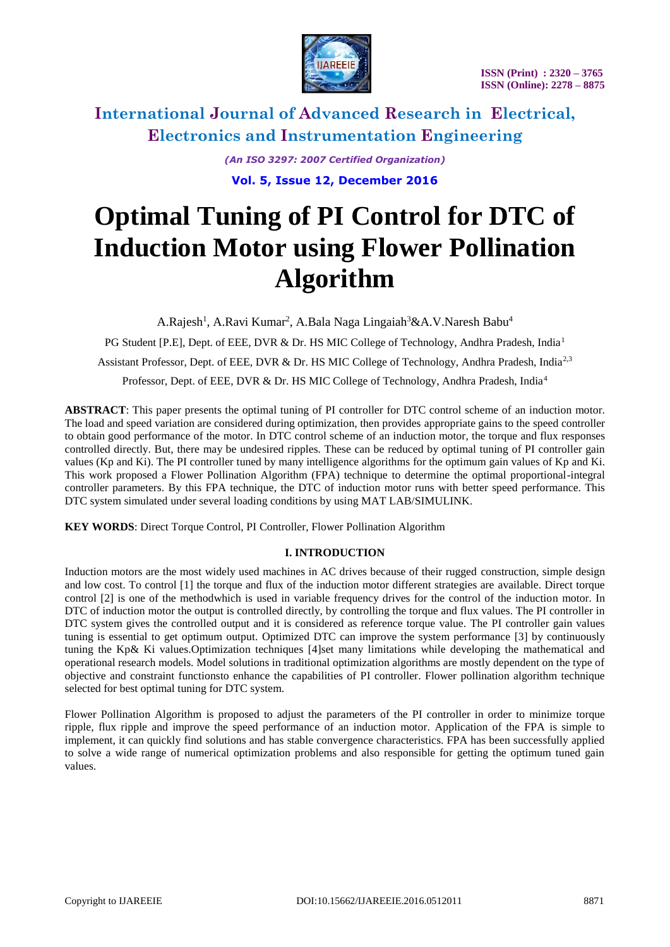

> *(An ISO 3297: 2007 Certified Organization)* **Vol. 5, Issue 12, December 2016**

# **Optimal Tuning of PI Control for DTC of Induction Motor using Flower Pollination Algorithm**

A.Rajesh<sup>1</sup>, A.Ravi Kumar<sup>2</sup>, A.Bala Naga Lingaiah<sup>3</sup>&A.V.Naresh Babu<sup>4</sup>

PG Student [P.E], Dept. of EEE, DVR & Dr. HS MIC College of Technology, Andhra Pradesh, India<sup>1</sup>

Assistant Professor, Dept. of EEE, DVR & Dr. HS MIC College of Technology, Andhra Pradesh, India<sup>2,3</sup>

Professor, Dept. of EEE, DVR & Dr. HS MIC College of Technology, Andhra Pradesh, India<sup>4</sup>

**ABSTRACT**: This paper presents the optimal tuning of PI controller for DTC control scheme of an induction motor. The load and speed variation are considered during optimization, then provides appropriate gains to the speed controller to obtain good performance of the motor. In DTC control scheme of an induction motor, the torque and flux responses controlled directly. But, there may be undesired ripples. These can be reduced by optimal tuning of PI controller gain values (Kp and Ki). The PI controller tuned by many intelligence algorithms for the optimum gain values of Kp and Ki. This work proposed a Flower Pollination Algorithm (FPA) technique to determine the optimal proportional-integral controller parameters. By this FPA technique, the DTC of induction motor runs with better speed performance. This DTC system simulated under several loading conditions by using MAT LAB/SIMULINK.

**KEY WORDS**: Direct Torque Control, PI Controller, Flower Pollination Algorithm

### **I. INTRODUCTION**

Induction motors are the most widely used machines in AC drives because of their rugged construction, simple design and low cost. To control [1] the torque and flux of the induction motor different strategies are available. Direct torque control [2] is one of the methodwhich is used in variable frequency drives for the control of the induction motor. In DTC of induction motor the output is controlled directly, by controlling the torque and flux values. The PI controller in DTC system gives the controlled output and it is considered as reference torque value. The PI controller gain values tuning is essential to get optimum output. Optimized DTC can improve the system performance [3] by continuously tuning the Kp& Ki values.Optimization techniques [4]set many limitations while developing the mathematical and operational research models. Model solutions in traditional optimization algorithms are mostly dependent on the type of objective and constraint functionsto enhance the capabilities of PI controller. Flower pollination algorithm technique selected for best optimal tuning for DTC system.

Flower Pollination Algorithm is proposed to adjust the parameters of the PI controller in order to minimize torque ripple, flux ripple and improve the speed performance of an induction motor. Application of the FPA is simple to implement, it can quickly find solutions and has stable convergence characteristics. FPA has been successfully applied to solve a wide range of numerical optimization problems and also responsible for getting the optimum tuned gain values.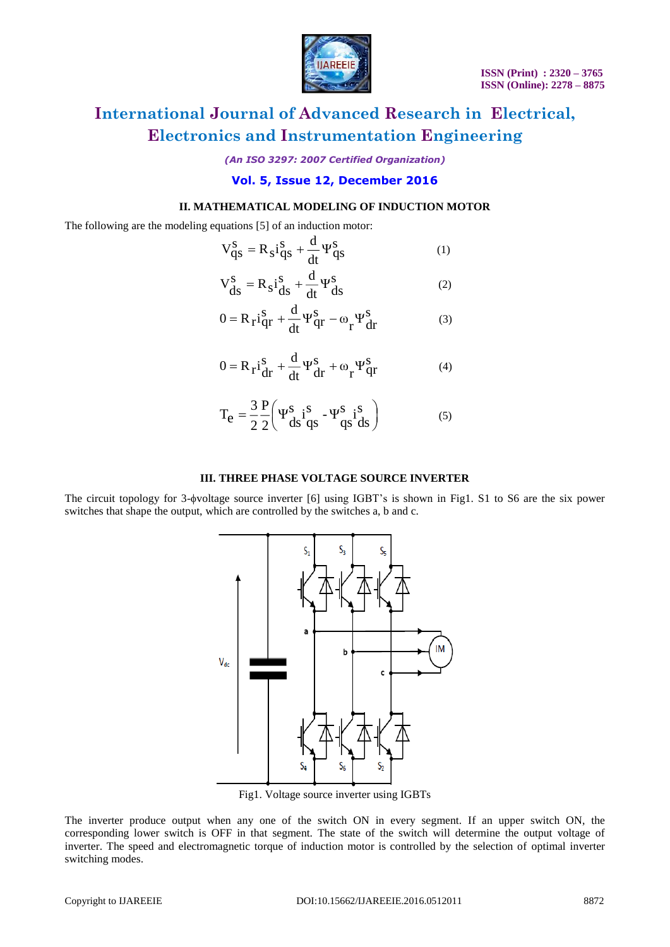

*(An ISO 3297: 2007 Certified Organization)*

### **Vol. 5, Issue 12, December 2016**

### **II. MATHEMATICAL MODELING OF INDUCTION MOTOR**

The following are the modeling equations [5] of an induction motor:

$$
V_{qs}^{s} = R_{s}i_{qs}^{s} + \frac{d}{dt}\Psi_{qs}^{s}
$$
 (1)

$$
V_{ds}^s = R_s i_{ds}^s + \frac{d}{dt} \Psi_{ds}^s
$$
 (2)

$$
0 = R_{\rm r} i_{\rm qr}^{\rm S} + \frac{d}{dt} \Psi_{\rm qr}^{\rm S} - \omega_{\rm r} \Psi_{\rm dr}^{\rm S} \tag{3}
$$

$$
0 = R_{\mathbf{r}} i_{\mathbf{dr}}^{S} + \frac{d}{dt} \Psi_{\mathbf{dr}}^{S} + \omega_{\mathbf{r}} \Psi_{\mathbf{qr}}^{S}
$$
(4)

$$
T_e = \frac{3}{2} \frac{P}{2} \left( \Psi_{ds}^s i_{qs}^s - \Psi_{qs}^s i_{ds}^s \right)
$$
 (5)

### **III. THREE PHASE VOLTAGE SOURCE INVERTER**

The circuit topology for 3-pvoltage source inverter [6] using IGBT's is shown in Fig1. S1 to S6 are the six power switches that shape the output, which are controlled by the switches a, b and c.



Fig1. Voltage source inverter using IGBTs

The inverter produce output when any one of the switch ON in every segment. If an upper switch ON, the corresponding lower switch is OFF in that segment. The state of the switch will determine the output voltage of inverter. The speed and electromagnetic torque of induction motor is controlled by the selection of optimal inverter switching modes.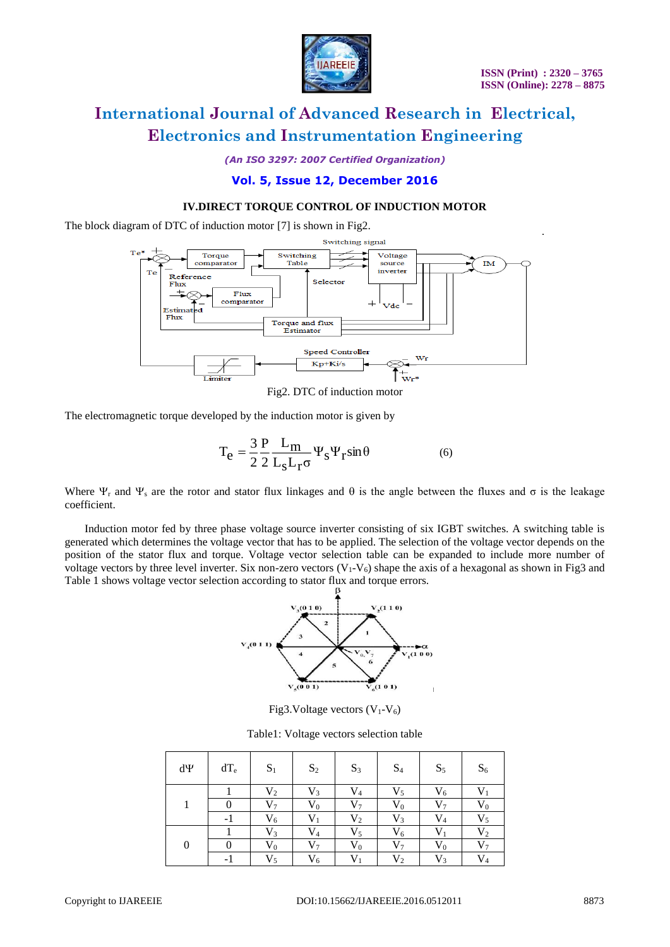

*(An ISO 3297: 2007 Certified Organization)*

### **Vol. 5, Issue 12, December 2016**

### **IV.DIRECT TORQUE CONTROL OF INDUCTION MOTOR**

The block diagram of DTC of induction motor [7] is shown in Fig2.



Fig2. DTC of induction motor

The electromagnetic torque developed by the induction motor is given by

$$
T_{e} = \frac{3}{2} \frac{P}{2} \frac{L_{m}}{L_{s} L_{r} \sigma} \Psi_{s} \Psi_{r} \sin \theta
$$
 (6)

Where  $\Psi_r$  and  $\Psi_s$  are the rotor and stator flux linkages and  $\theta$  is the angle between the fluxes and  $\sigma$  is the leakage coefficient.

 Induction motor fed by three phase voltage source inverter consisting of six IGBT switches. A switching table is generated which determines the voltage vector that has to be applied. The selection of the voltage vector depends on the position of the stator flux and torque. Voltage vector selection table can be expanded to include more number of voltage vectors by three level inverter. Six non-zero vectors  $(V_1-V_6)$  shape the axis of a hexagonal as shown in Fig3 and Table 1 shows voltage vector selection according to stator flux and torque errors.



Fig3.Voltage vectors  $(V_1-V_6)$ 

Table1: Voltage vectors selection table

| dΨ               | $dT_e$ | $S_1$          | $S_2$          | $S_3$          | $S_4$          | $S_5$          | $S_6$     |
|------------------|--------|----------------|----------------|----------------|----------------|----------------|-----------|
|                  |        | V <sub>2</sub> | $V_3$          | $V_4$          | $V_5$          | $V_6$          |           |
|                  |        | $V_7$          | $V_0$          | $\rm V_7$      | $\rm V_0$      | $V_7$          | $V_0$     |
|                  | - 1    | $V_6$          | $V_1$          | $\rm V_2$      | $V_3$          | V <sub>4</sub> | $V_5$     |
| $\boldsymbol{0}$ |        | $V_3$          | $V_4$          | $\rm V_5$      | $V_6$          | $\mathbf{V}_1$ | $\rm V_2$ |
|                  |        | $\rm V_0$      | V <sub>7</sub> | $\rm V_0$      | V7             | $\rm V_0$      | V7        |
|                  |        | $V_5$          | $V_6$          | $\mathbf{V}_1$ | V <sub>2</sub> | $V_3$          | $V_4$     |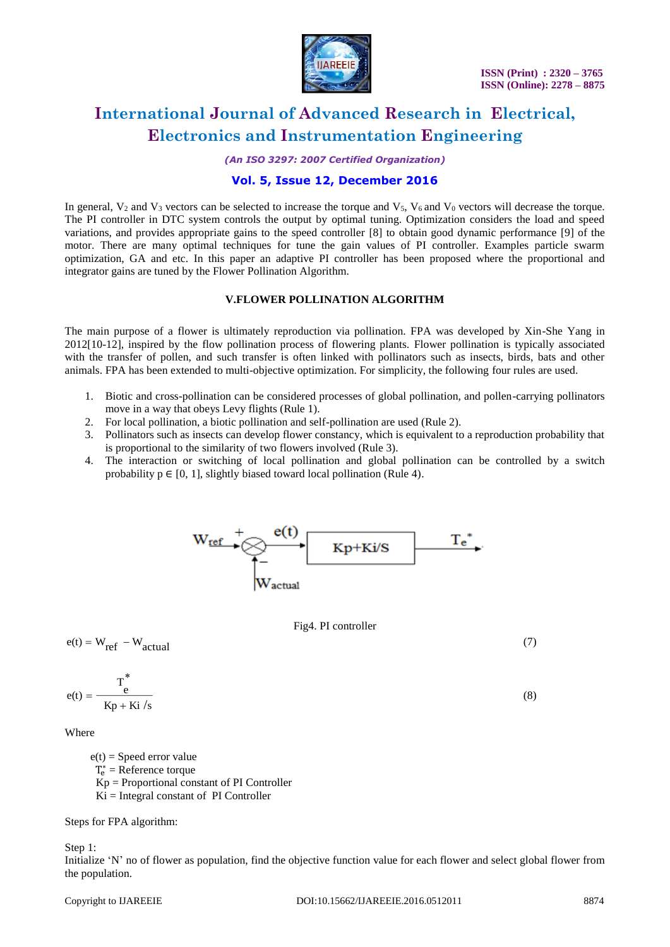

*(An ISO 3297: 2007 Certified Organization)*

### **Vol. 5, Issue 12, December 2016**

In general,  $V_2$  and  $V_3$  vectors can be selected to increase the torque and  $V_5$ ,  $V_6$  and  $V_0$  vectors will decrease the torque. The PI controller in DTC system controls the output by optimal tuning. Optimization considers the load and speed variations, and provides appropriate gains to the speed controller [8] to obtain good dynamic performance [9] of the motor. There are many optimal techniques for tune the gain values of PI controller. Examples particle swarm optimization, GA and etc. In this paper an adaptive PI controller has been proposed where the proportional and integrator gains are tuned by the Flower Pollination Algorithm.

### **V.FLOWER POLLINATION ALGORITHM**

The main purpose of a flower is ultimately reproduction via pollination. FPA was developed by Xin-She Yang in 2012[10-12], inspired by the flow pollination process of flowering plants. Flower pollination is typically associated with the transfer of pollen, and such transfer is often linked with pollinators such as insects, birds, bats and other animals. FPA has been extended to multi-objective optimization. For simplicity, the following four rules are used.

- 1. Biotic and cross-pollination can be considered processes of global pollination, and pollen-carrying pollinators move in a way that obeys Levy flights (Rule 1).
- 2. For local pollination, a biotic pollination and self-pollination are used (Rule 2).
- 3. Pollinators such as insects can develop flower constancy, which is equivalent to a reproduction probability that is proportional to the similarity of two flowers involved (Rule 3).
- 4. The interaction or switching of local pollination and global pollination can be controlled by a switch probability  $p \in [0, 1]$ , slightly biased toward local pollination (Rule 4).



#### Fig4. PI controller

$$
e(t) = W_{ref} - W_{actual} \tag{7}
$$

$$
e(t) = \frac{T_e^*}{Kp + Ki/s}
$$
 (8)

Where

 $e(t)$  = Speed error value  $T_e^*$  = Reference torque Kp = Proportional constant of PI Controller  $Ki = Integral constant of PI Controler$ 

Steps for FPA algorithm:

#### Step 1:

Initialize 'N' no of flower as population, find the objective function value for each flower and select global flower from the population.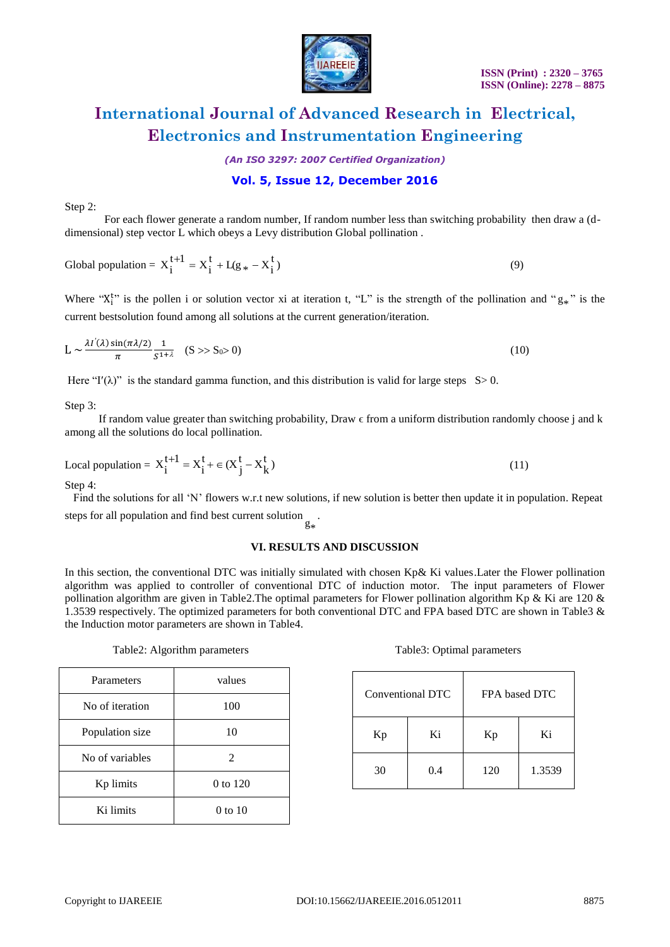

*(An ISO 3297: 2007 Certified Organization)*

### **Vol. 5, Issue 12, December 2016**

Step 2:

 For each flower generate a random number, If random number less than switching probability then draw a (ddimensional) step vector L which obeys a Levy distribution Global pollination .

Global population = 
$$
X_i^{t+1} = X_i^t + L(g_* - X_i^t)
$$
 (9)

Where " $X_i^{t}$ " is the pollen i or solution vector xi at iteration t, "L" is the strength of the pollination and " $g_*$ " is the current bestsolution found among all solutions at the current generation/iteration.

$$
L \sim \frac{\lambda I'(\lambda) \sin(\pi \lambda/2)}{\pi} \frac{1}{S^{1+\lambda}} \quad (S \gg S_0 \gg 0)
$$
 (10)

Here "I'( $\lambda$ )" is the standard gamma function, and this distribution is valid for large steps S  $> 0$ .

Step 3:

If random value greater than switching probability, Draw  $\epsilon$  from a uniform distribution randomly choose j and k among all the solutions do local pollination.

Local population = 
$$
X_i^{t+1} = X_i^t + \epsilon (X_j^t - X_k^t)
$$
 (11)

Step 4:

 Find the solutions for all 'N' flowers w.r.t new solutions, if new solution is better then update it in population. Repeat steps for all population and find best current solution .

> \*g

#### **VI. RESULTS AND DISCUSSION**

In this section, the conventional DTC was initially simulated with chosen Kp& Ki values.Later the Flower pollination algorithm was applied to controller of conventional DTC of induction motor. The input parameters of Flower pollination algorithm are given in Table2.The optimal parameters for Flower pollination algorithm Kp & Ki are 120 & 1.3539 respectively. The optimized parameters for both conventional DTC and FPA based DTC are shown in Table3 & the Induction motor parameters are shown in Table4.

| Parameters      | values      |  |
|-----------------|-------------|--|
| No of iteration | 100         |  |
| Population size | 10          |  |
| No of variables | 2           |  |
| Kp limits       | 0 to 120    |  |
| Ki limits       | $0$ to $10$ |  |

#### Table2: Algorithm parameters Table3: Optimal parameters

| Conventional DTC |     | FPA based DTC |        |  |
|------------------|-----|---------------|--------|--|
| Kp               | Ki  | Kp            | Ki     |  |
| 30               | 0.4 | 120           | 1.3539 |  |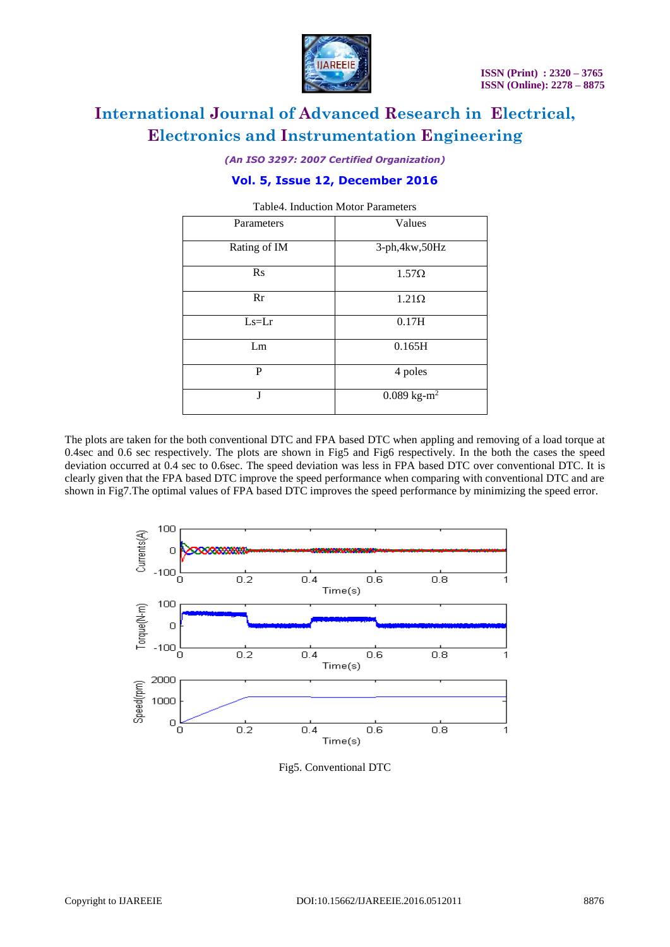

*(An ISO 3297: 2007 Certified Organization)*

### **Vol. 5, Issue 12, December 2016**

| Parameters   | Values                              |  |
|--------------|-------------------------------------|--|
| Rating of IM | 3-ph, 4kw, 50Hz                     |  |
| $\rm Rs$     | $1.57\Omega$                        |  |
| Rr           | $1.21\Omega$                        |  |
| $Ls=Lr$      | 0.17H                               |  |
| Lm           | 0.165H                              |  |
| P            | 4 poles                             |  |
| J            | $0.089 \text{ kg} \cdot \text{m}^2$ |  |

Table4. Induction Motor Parameters

The plots are taken for the both conventional DTC and FPA based DTC when appling and removing of a load torque at 0.4sec and 0.6 sec respectively. The plots are shown in Fig5 and Fig6 respectively. In the both the cases the speed deviation occurred at 0.4 sec to 0.6sec. The speed deviation was less in FPA based DTC over conventional DTC. It is clearly given that the FPA based DTC improve the speed performance when comparing with conventional DTC and are shown in Fig7.The optimal values of FPA based DTC improves the speed performance by minimizing the speed error.



Fig5. Conventional DTC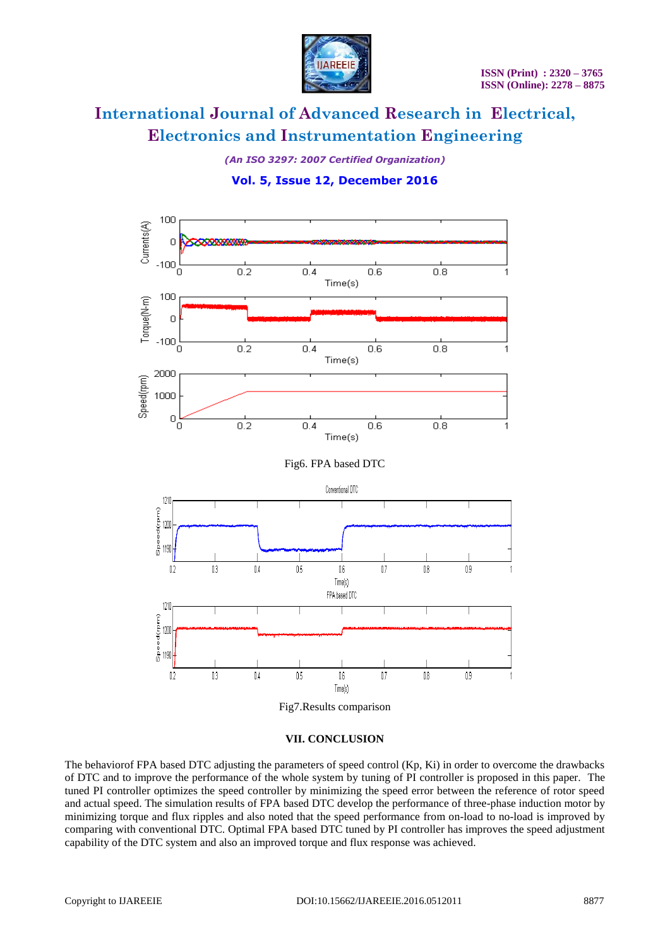

*(An ISO 3297: 2007 Certified Organization)*

### **Vol. 5, Issue 12, December 2016**



Fig7.Results comparison

#### **VII. CONCLUSION**

The behaviorof FPA based DTC adjusting the parameters of speed control (Kp, Ki) in order to overcome the drawbacks of DTC and to improve the performance of the whole system by tuning of PI controller is proposed in this paper. The tuned PI controller optimizes the speed controller by minimizing the speed error between the reference of rotor speed and actual speed. The simulation results of FPA based DTC develop the performance of three-phase induction motor by minimizing torque and flux ripples and also noted that the speed performance from on-load to no-load is improved by comparing with conventional DTC. Optimal FPA based DTC tuned by PI controller has improves the speed adjustment capability of the DTC system and also an improved torque and flux response was achieved.